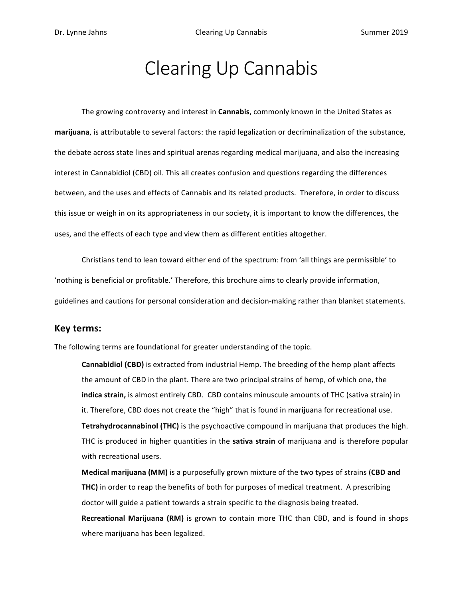# Clearing Up Cannabis

The growing controversy and interest in *Cannabis*, commonly known in the United States as marijuana, is attributable to several factors: the rapid legalization or decriminalization of the substance, the debate across state lines and spiritual arenas regarding medical marijuana, and also the increasing interest in Cannabidiol (CBD) oil. This all creates confusion and questions regarding the differences between, and the uses and effects of Cannabis and its related products. Therefore, in order to discuss this issue or weigh in on its appropriateness in our society, it is important to know the differences, the uses, and the effects of each type and view them as different entities altogether.

Christians tend to lean toward either end of the spectrum: from 'all things are permissible' to 'nothing is beneficial or profitable.' Therefore, this brochure aims to clearly provide information, guidelines and cautions for personal consideration and decision-making rather than blanket statements.

# **Key terms:**

The following terms are foundational for greater understanding of the topic.

**Cannabidiol (CBD)** is extracted from industrial Hemp. The breeding of the hemp plant affects the amount of CBD in the plant. There are two principal strains of hemp, of which one, the **indica strain,** is almost entirely CBD. CBD contains minuscule amounts of THC (sativa strain) in it. Therefore, CBD does not create the "high" that is found in marijuana for recreational use. **Tetrahydrocannabinol (THC)** is the *psychoactive compound* in marijuana that produces the high. THC is produced in higher quantities in the **sativa strain** of marijuana and is therefore popular with recreational users.

**Medical marijuana (MM)** is a purposefully grown mixture of the two types of strains (CBD and **THC)** in order to reap the benefits of both for purposes of medical treatment. A prescribing doctor will guide a patient towards a strain specific to the diagnosis being treated.

**Recreational Marijuana (RM)** is grown to contain more THC than CBD, and is found in shops where marijuana has been legalized.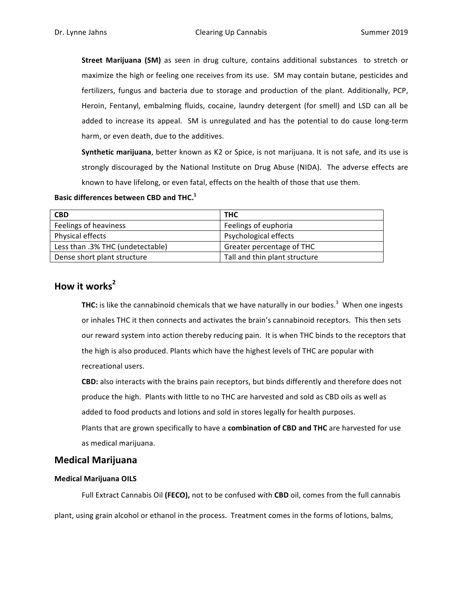**Street Marijuana (SM)** as seen in drug culture, contains additional substances to stretch or maximize the high or feeling one receives from its use. SM may contain butane, pesticides and fertilizers, fungus and bacteria due to storage and production of the plant. Additionally, PCP, Heroin, Fentanyl, embalming fluids, cocaine, laundry detergent (for smell) and LSD can all be added to increase its appeal. SM is unregulated and has the potential to do cause long-term harm, or even death, due to the additives.

**Synthetic marijuana**, better known as K2 or Spice, is not marijuana. It is not safe, and its use is strongly discouraged by the National Institute on Drug Abuse (NIDA). The adverse effects are known to have lifelong, or even fatal, effects on the health of those that use them.

# **Basic differences between CBD and THC.**<sup>1</sup>

| <b>CBD</b>                       | <b>THC</b>                    |
|----------------------------------|-------------------------------|
| Feelings of heaviness            | Feelings of euphoria          |
| Physical effects                 | Psychological effects         |
| Less than .3% THC (undetectable) | Greater percentage of THC     |
| Dense short plant structure      | Tall and thin plant structure |

# **How it works<sup>2</sup>**

**THC:** is like the cannabinoid chemicals that we have naturally in our bodies. $3$  When one ingests or inhales THC it then connects and activates the brain's cannabinoid receptors. This then sets our reward system into action thereby reducing pain. It is when THC binds to the receptors that the high is also produced. Plants which have the highest levels of THC are popular with recreational users.

**CBD:** also interacts with the brains pain receptors, but binds differently and therefore does not produce the high. Plants with little to no THC are harvested and sold as CBD oils as well as added to food products and lotions and sold in stores legally for health purposes.

Plants that are grown specifically to have a **combination of CBD and THC** are harvested for use as medical marijuana.

# **Medical Marijuana**

#### **Medical Marijuana OILS**

Full Extract Cannabis Oil (FECO), not to be confused with CBD oil, comes from the full cannabis

plant, using grain alcohol or ethanol in the process. Treatment comes in the forms of lotions, balms,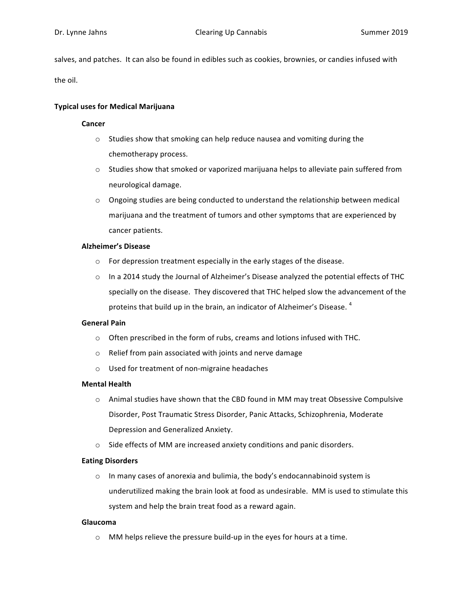salves, and patches. It can also be found in edibles such as cookies, brownies, or candies infused with

the oil.

### **Typical uses for Medical Marijuana**

#### **Cancer**

- $\circ$  Studies show that smoking can help reduce nausea and vomiting during the chemotherapy process.
- $\circ$  Studies show that smoked or vaporized marijuana helps to alleviate pain suffered from neurological damage.
- $\circ$  Ongoing studies are being conducted to understand the relationship between medical marijuana and the treatment of tumors and other symptoms that are experienced by cancer patients.

#### **Alzheimer's Disease**

- $\circ$  For depression treatment especially in the early stages of the disease.
- $\circ$  In a 2014 study the Journal of Alzheimer's Disease analyzed the potential effects of THC specially on the disease. They discovered that THC helped slow the advancement of the proteins that build up in the brain, an indicator of Alzheimer's Disease.  $4$

#### **General Pain**

- $\circ$  Often prescribed in the form of rubs, creams and lotions infused with THC.
- $\circ$  Relief from pain associated with joints and nerve damage
- $\circ$  Used for treatment of non-migraine headaches

#### **Mental Health**

- $\circ$  Animal studies have shown that the CBD found in MM may treat Obsessive Compulsive Disorder, Post Traumatic Stress Disorder, Panic Attacks, Schizophrenia, Moderate Depression and Generalized Anxiety.
- $\circ$  Side effects of MM are increased anxiety conditions and panic disorders.

#### **Eating Disorders**

 $\circ$  In many cases of anorexia and bulimia, the body's endocannabinoid system is underutilized making the brain look at food as undesirable. MM is used to stimulate this system and help the brain treat food as a reward again.

#### **Glaucoma**

 $\circ$  MM helps relieve the pressure build-up in the eyes for hours at a time.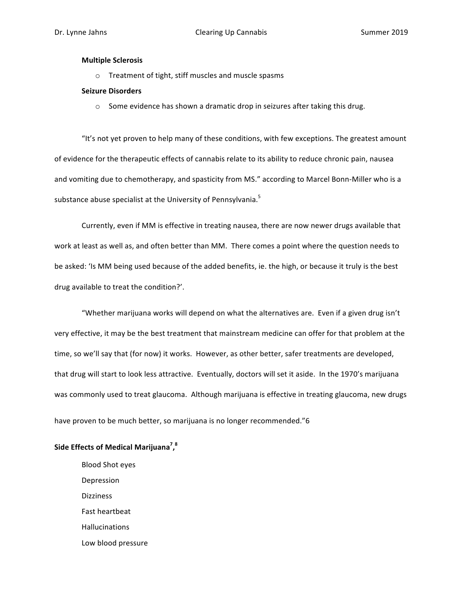#### **Multiple Sclerosis**

o Treatment of tight, stiff muscles and muscle spasms

#### **Seizure Disorders**

 $\circ$  Some evidence has shown a dramatic drop in seizures after taking this drug.

"It's not yet proven to help many of these conditions, with few exceptions. The greatest amount of evidence for the therapeutic effects of cannabis relate to its ability to reduce chronic pain, nausea and vomiting due to chemotherapy, and spasticity from MS." according to Marcel Bonn-Miller who is a substance abuse specialist at the University of Pennsylvania.<sup>5</sup>

Currently, even if MM is effective in treating nausea, there are now newer drugs available that work at least as well as, and often better than MM. There comes a point where the question needs to be asked: 'Is MM being used because of the added benefits, ie. the high, or because it truly is the best drug available to treat the condition?'.

"Whether marijuana works will depend on what the alternatives are. Even if a given drug isn't very effective, it may be the best treatment that mainstream medicine can offer for that problem at the time, so we'll say that (for now) it works. However, as other better, safer treatments are developed, that drug will start to look less attractive. Eventually, doctors will set it aside. In the 1970's marijuana was commonly used to treat glaucoma. Although marijuana is effective in treating glaucoma, new drugs have proven to be much better, so marijuana is no longer recommended."6

# **Side Effects of Medical Marijuana7 , 8**

Blood Shot eyes Depression Dizziness Fast heartbeat Hallucinations Low blood pressure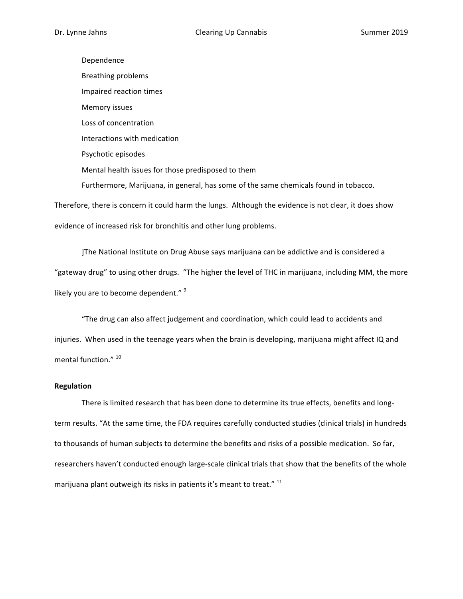Dependence Breathing problems Impaired reaction times Memory issues Loss of concentration Interactions with medication Psychotic episodes Mental health issues for those predisposed to them Furthermore, Marijuana, in general, has some of the same chemicals found in tobacco. Therefore, there is concern it could harm the lungs. Although the evidence is not clear, it does show

evidence of increased risk for bronchitis and other lung problems.

]The National Institute on Drug Abuse says marijuana can be addictive and is considered a "gateway drug" to using other drugs. "The higher the level of THC in marijuana, including MM, the more likely you are to become dependent."  $9$ 

"The drug can also affect judgement and coordination, which could lead to accidents and injuries. When used in the teenage years when the brain is developing, marijuana might affect IQ and mental function." 10

#### **Regulation**

There is limited research that has been done to determine its true effects, benefits and longterm results. "At the same time, the FDA requires carefully conducted studies (clinical trials) in hundreds to thousands of human subjects to determine the benefits and risks of a possible medication. So far, researchers haven't conducted enough large-scale clinical trials that show that the benefits of the whole marijuana plant outweigh its risks in patients it's meant to treat." <sup>11</sup>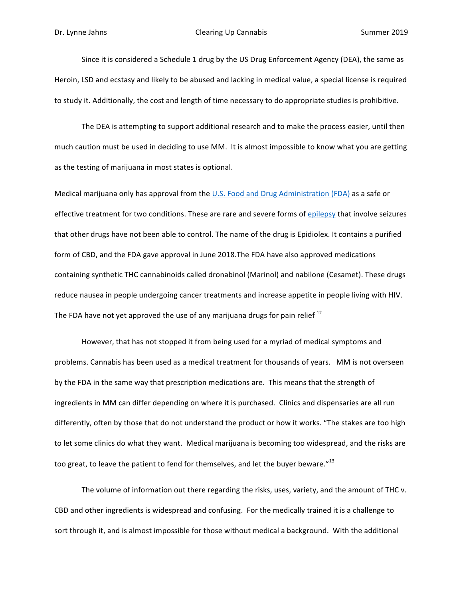Since it is considered a Schedule 1 drug by the US Drug Enforcement Agency (DEA), the same as Heroin, LSD and ecstasy and likely to be abused and lacking in medical value, a special license is required to study it. Additionally, the cost and length of time necessary to do appropriate studies is prohibitive.

The DEA is attempting to support additional research and to make the process easier, until then much caution must be used in deciding to use MM. It is almost impossible to know what you are getting as the testing of marijuana in most states is optional.

Medical marijuana only has approval from the U.S. Food and Drug Administration (FDA) as a safe or effective treatment for two conditions. These are rare and severe forms of epilepsy that involve seizures that other drugs have not been able to control. The name of the drug is Epidiolex. It contains a purified form of CBD, and the FDA gave approval in June 2018.The FDA have also approved medications containing synthetic THC cannabinoids called dronabinol (Marinol) and nabilone (Cesamet). These drugs reduce nausea in people undergoing cancer treatments and increase appetite in people living with HIV. The FDA have not yet approved the use of any marijuana drugs for pain relief  $^{12}$ 

However, that has not stopped it from being used for a myriad of medical symptoms and problems. Cannabis has been used as a medical treatment for thousands of years. MM is not overseen by the FDA in the same way that prescription medications are. This means that the strength of ingredients in MM can differ depending on where it is purchased. Clinics and dispensaries are all run differently, often by those that do not understand the product or how it works. "The stakes are too high to let some clinics do what they want. Medical marijuana is becoming too widespread, and the risks are too great, to leave the patient to fend for themselves, and let the buyer beware."<sup>13</sup>

The volume of information out there regarding the risks, uses, variety, and the amount of THC v. CBD and other ingredients is widespread and confusing. For the medically trained it is a challenge to sort through it, and is almost impossible for those without medical a background. With the additional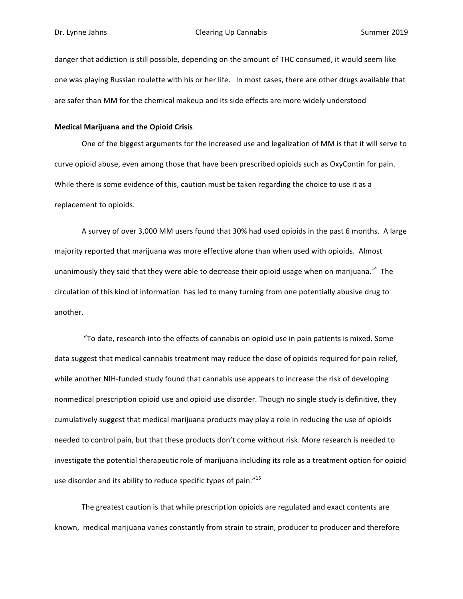danger that addiction is still possible, depending on the amount of THC consumed, it would seem like one was playing Russian roulette with his or her life. In most cases, there are other drugs available that are safer than MM for the chemical makeup and its side effects are more widely understood

#### **Medical Marijuana and the Opioid Crisis**

One of the biggest arguments for the increased use and legalization of MM is that it will serve to curve opioid abuse, even among those that have been prescribed opioids such as OxyContin for pain. While there is some evidence of this, caution must be taken regarding the choice to use it as a replacement to opioids.

A survey of over 3,000 MM users found that 30% had used opioids in the past 6 months. A large majority reported that marijuana was more effective alone than when used with opioids. Almost unanimously they said that they were able to decrease their opioid usage when on marijuana.<sup>14</sup> The circulation of this kind of information has led to many turning from one potentially abusive drug to another. 

"To date, research into the effects of cannabis on opioid use in pain patients is mixed. Some data suggest that medical cannabis treatment may reduce the dose of opioids required for pain relief, while another NIH-funded study found that cannabis use appears to increase the risk of developing nonmedical prescription opioid use and opioid use disorder. Though no single study is definitive, they cumulatively suggest that medical marijuana products may play a role in reducing the use of opioids needed to control pain, but that these products don't come without risk. More research is needed to investigate the potential therapeutic role of marijuana including its role as a treatment option for opioid use disorder and its ability to reduce specific types of pain." $15$ 

The greatest caution is that while prescription opioids are regulated and exact contents are known, medical marijuana varies constantly from strain to strain, producer to producer and therefore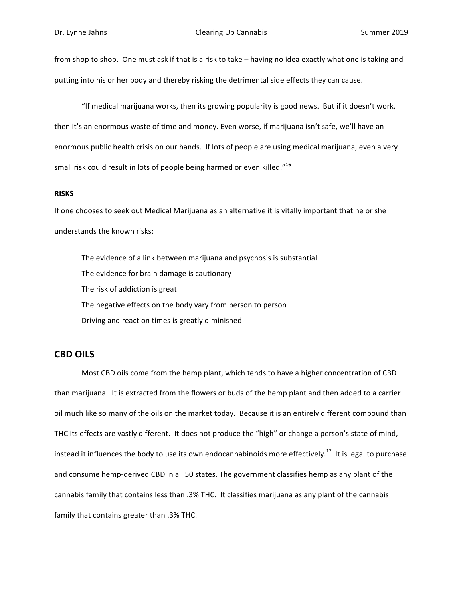from shop to shop. One must ask if that is a risk to take – having no idea exactly what one is taking and putting into his or her body and thereby risking the detrimental side effects they can cause.

"If medical marijuana works, then its growing popularity is good news. But if it doesn't work, then it's an enormous waste of time and money. Even worse, if marijuana isn't safe, we'll have an enormous public health crisis on our hands. If lots of people are using medical marijuana, even a very small risk could result in lots of people being harmed or even killed."<sup>16</sup>

#### **RISKS**

If one chooses to seek out Medical Marijuana as an alternative it is vitally important that he or she understands the known risks:

The evidence of a link between marijuana and psychosis is substantial The evidence for brain damage is cautionary The risk of addiction is great The negative effects on the body vary from person to person Driving and reaction times is greatly diminished

# **CBD OILS**

Most CBD oils come from the hemp plant, which tends to have a higher concentration of CBD than marijuana. It is extracted from the flowers or buds of the hemp plant and then added to a carrier oil much like so many of the oils on the market today. Because it is an entirely different compound than THC its effects are vastly different. It does not produce the "high" or change a person's state of mind, instead it influences the body to use its own endocannabinoids more effectively.<sup>17</sup> It is legal to purchase and consume hemp-derived CBD in all 50 states. The government classifies hemp as any plant of the cannabis family that contains less than .3% THC. It classifies marijuana as any plant of the cannabis family that contains greater than .3% THC.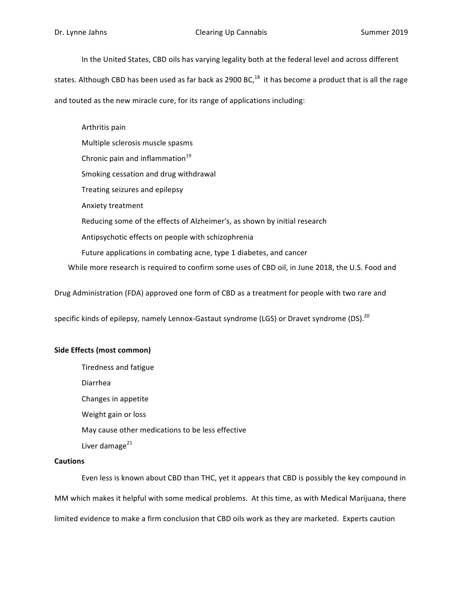In the United States, CBD oils has varying legality both at the federal level and across different

states. Although CBD has been used as far back as 2900 BC, $^{18}$  it has become a product that is all the rage

and touted as the new miracle cure, for its range of applications including:

Arthritis pain Multiple sclerosis muscle spasms Chronic pain and inflammation $^{19}$ Smoking cessation and drug withdrawal Treating seizures and epilepsy Anxiety treatment Reducing some of the effects of Alzheimer's, as shown by initial research Antipsychotic effects on people with schizophrenia Future applications in combating acne, type 1 diabetes, and cancer While more research is required to confirm some uses of CBD oil, in June 2018, the U.S. Food and

Drug Administration (FDA) approved one form of CBD as a treatment for people with two rare and

specific kinds of epilepsy, namely Lennox-Gastaut syndrome (LGS) or Dravet syndrome (DS).<sup>20</sup>

#### **Side Effects (most common)**

Tiredness and fatigue

Diarrhea

Changes in appetite

Weight gain or loss

May cause other medications to be less effective

Liver damage $^{21}$ 

#### **Cautions**

Even less is known about CBD than THC, yet it appears that CBD is possibly the key compound in MM which makes it helpful with some medical problems. At this time, as with Medical Marijuana, there limited evidence to make a firm conclusion that CBD oils work as they are marketed. Experts caution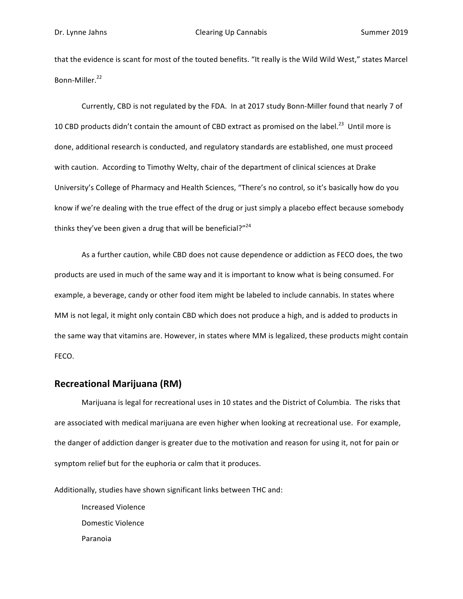that the evidence is scant for most of the touted benefits. "It really is the Wild Wild West," states Marcel Bonn-Miller.<sup>22</sup>

Currently, CBD is not regulated by the FDA. In at 2017 study Bonn-Miller found that nearly 7 of 10 CBD products didn't contain the amount of CBD extract as promised on the label.<sup>23</sup> Until more is done, additional research is conducted, and regulatory standards are established, one must proceed with caution. According to Timothy Welty, chair of the department of clinical sciences at Drake University's College of Pharmacy and Health Sciences, "There's no control, so it's basically how do you know if we're dealing with the true effect of the drug or just simply a placebo effect because somebody thinks they've been given a drug that will be beneficial?"<sup>24</sup>

As a further caution, while CBD does not cause dependence or addiction as FECO does, the two products are used in much of the same way and it is important to know what is being consumed. For example, a beverage, candy or other food item might be labeled to include cannabis. In states where MM is not legal, it might only contain CBD which does not produce a high, and is added to products in the same way that vitamins are. However, in states where MM is legalized, these products might contain FECO. 

# **Recreational Marijuana (RM)**

Marijuana is legal for recreational uses in 10 states and the District of Columbia. The risks that are associated with medical marijuana are even higher when looking at recreational use. For example, the danger of addiction danger is greater due to the motivation and reason for using it, not for pain or symptom relief but for the euphoria or calm that it produces.

Additionally, studies have shown significant links between THC and:

 Increased Violence Domestic Violence Paranoia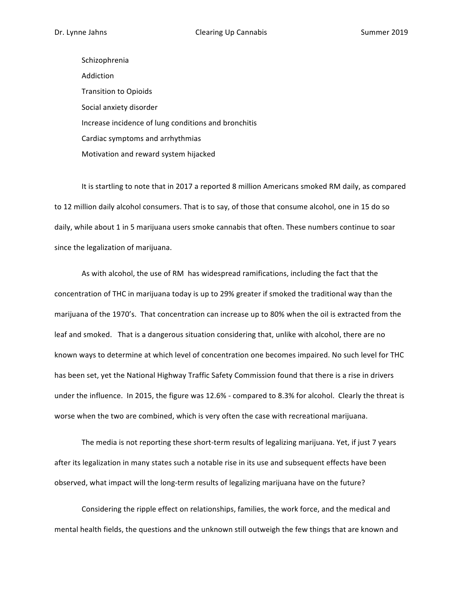Schizophrenia Addiction **Transition to Opioids** Social anxiety disorder Increase incidence of lung conditions and bronchitis Cardiac symptoms and arrhythmias Motivation and reward system hijacked

It is startling to note that in 2017 a reported 8 million Americans smoked RM daily, as compared to 12 million daily alcohol consumers. That is to say, of those that consume alcohol, one in 15 do so daily, while about 1 in 5 marijuana users smoke cannabis that often. These numbers continue to soar since the legalization of marijuana.

As with alcohol, the use of RM has widespread ramifications, including the fact that the concentration of THC in marijuana today is up to 29% greater if smoked the traditional way than the marijuana of the 1970's. That concentration can increase up to 80% when the oil is extracted from the leaf and smoked. That is a dangerous situation considering that, unlike with alcohol, there are no known ways to determine at which level of concentration one becomes impaired. No such level for THC has been set, yet the National Highway Traffic Safety Commission found that there is a rise in drivers under the influence. In 2015, the figure was 12.6% - compared to 8.3% for alcohol. Clearly the threat is worse when the two are combined, which is very often the case with recreational marijuana.

The media is not reporting these short-term results of legalizing marijuana. Yet, if just 7 years after its legalization in many states such a notable rise in its use and subsequent effects have been observed, what impact will the long-term results of legalizing marijuana have on the future?

Considering the ripple effect on relationships, families, the work force, and the medical and mental health fields, the questions and the unknown still outweigh the few things that are known and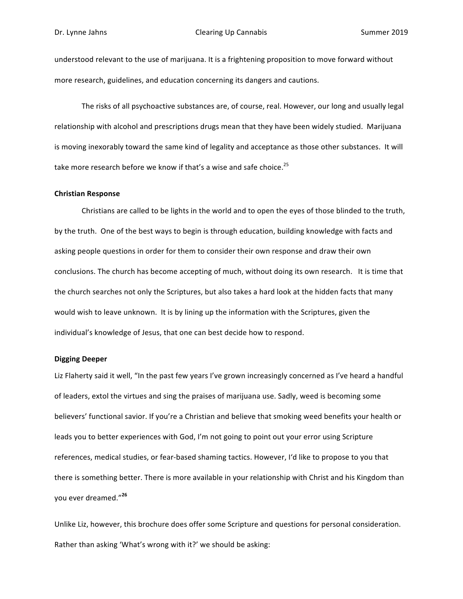understood relevant to the use of marijuana. It is a frightening proposition to move forward without more research, guidelines, and education concerning its dangers and cautions.

The risks of all psychoactive substances are, of course, real. However, our long and usually legal relationship with alcohol and prescriptions drugs mean that they have been widely studied. Marijuana is moving inexorably toward the same kind of legality and acceptance as those other substances. It will take more research before we know if that's a wise and safe choice.<sup>25</sup>

#### **Christian Response**

Christians are called to be lights in the world and to open the eyes of those blinded to the truth, by the truth. One of the best ways to begin is through education, building knowledge with facts and asking people questions in order for them to consider their own response and draw their own conclusions. The church has become accepting of much, without doing its own research. It is time that the church searches not only the Scriptures, but also takes a hard look at the hidden facts that many would wish to leave unknown. It is by lining up the information with the Scriptures, given the individual's knowledge of Jesus, that one can best decide how to respond.

#### **Digging Deeper**

Liz Flaherty said it well, "In the past few years I've grown increasingly concerned as I've heard a handful of leaders, extol the virtues and sing the praises of marijuana use. Sadly, weed is becoming some believers' functional savior. If you're a Christian and believe that smoking weed benefits your health or leads you to better experiences with God, I'm not going to point out your error using Scripture references, medical studies, or fear-based shaming tactics. However, I'd like to propose to you that there is something better. There is more available in your relationship with Christ and his Kingdom than you ever dreamed."**<sup>26</sup>** 

Unlike Liz, however, this brochure does offer some Scripture and questions for personal consideration. Rather than asking 'What's wrong with it?' we should be asking: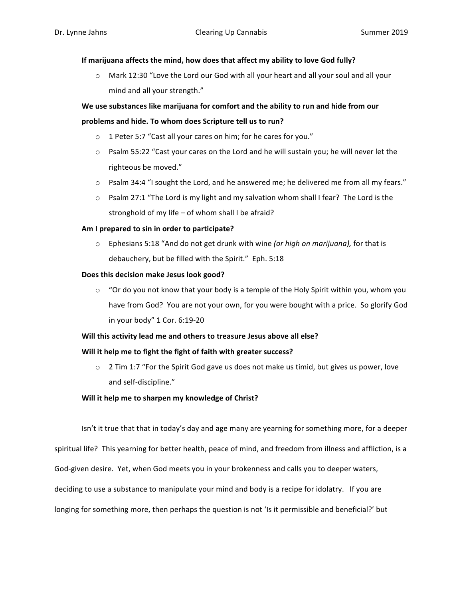# If marijuana affects the mind, how does that affect my ability to love God fully?

 $\circ$  Mark 12:30 "Love the Lord our God with all your heart and all your soul and all your mind and all your strength."

# We use substances like marijuana for comfort and the ability to run and hide from our problems and hide. To whom does Scripture tell us to run?

- $\circ$  1 Peter 5:7 "Cast all your cares on him; for he cares for you."
- $\circ$  Psalm 55:22 "Cast your cares on the Lord and he will sustain you; he will never let the righteous be moved."
- $\circ$  Psalm 34:4 "I sought the Lord, and he answered me; he delivered me from all my fears."
- $\circ$  Psalm 27:1 "The Lord is my light and my salvation whom shall I fear? The Lord is the stronghold of my life  $-$  of whom shall I be afraid?

# Am I prepared to sin in order to participate?

 $\circ$  Ephesians 5:18 "And do not get drunk with wine (or high on marijuana), for that is debauchery, but be filled with the Spirit." Eph. 5:18

# Does this decision make Jesus look good?

 $\circ$  "Or do you not know that your body is a temple of the Holy Spirit within you, whom you have from God? You are not your own, for you were bought with a price. So glorify God in your body" 1 Cor. 6:19-20

# Will this activity lead me and others to treasure Jesus above all else?

# Will it help me to fight the fight of faith with greater success?

 $\circ$  2 Tim 1:7 "For the Spirit God gave us does not make us timid, but gives us power, love and self-discipline."

# **Will it help me to sharpen my knowledge of Christ?**

Isn't it true that that in today's day and age many are yearning for something more, for a deeper spiritual life? This yearning for better health, peace of mind, and freedom from illness and affliction, is a God-given desire. Yet, when God meets you in your brokenness and calls you to deeper waters, deciding to use a substance to manipulate your mind and body is a recipe for idolatry. If you are longing for something more, then perhaps the question is not 'Is it permissible and beneficial?' but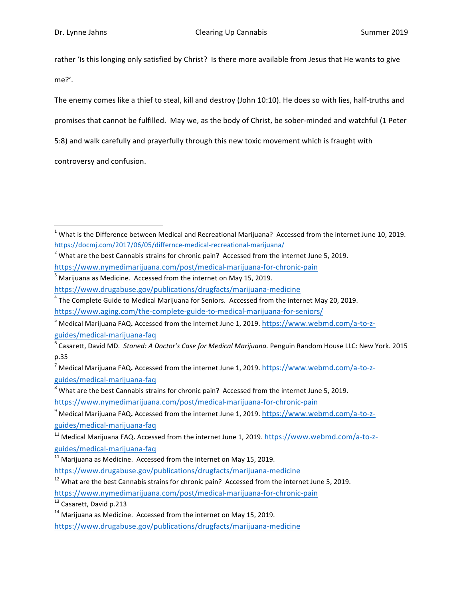rather 'Is this longing only satisfied by Christ? Is there more available from Jesus that He wants to give me?'. 

The enemy comes like a thief to steal, kill and destroy (John 10:10). He does so with lies, half-truths and promises that cannot be fulfilled. May we, as the body of Christ, be sober-minded and watchful (1 Peter 5:8) and walk carefully and prayerfully through this new toxic movement which is fraught with

controversy and confusion.

<u> 1989 - Johann Stein, markin film yn y breninn y breninn y breninn y breninn y breninn y breninn y breninn y b</u>

 $3$  Marijuana as Medicine. Accessed from the internet on May 15, 2019.

 $4$  The Complete Guide to Medical Marijuana for Seniors. Accessed from the internet May 20, 2019.

https://www.nymedimarijuana.com/post/medical-marijuana-for-chronic-pain

<sup>13</sup> Casarett, David p.213

https://www.drugabuse.gov/publications/drugfacts/marijuana-medicine

 $1$  What is the Difference between Medical and Recreational Marijuana? Accessed from the internet June 10, 2019. https://docmj.com/2017/06/05/differnce-medical-recreational-marijuana/

 $2$  What are the best Cannabis strains for chronic pain? Accessed from the internet June 5, 2019.

https://www.nymedimarijuana.com/post/medical-marijuana-for-chronic-pain

https://www.drugabuse.gov/publications/drugfacts/marijuana-medicine

https://www.aging.com/the-complete-guide-to-medical-marijuana-for-seniors/

<sup>&</sup>lt;sup>5</sup> Medical Marijuana FAQ. Accessed from the internet June 1, 2019. https://www.webmd.com/a-to-zguides/medical-marijuana-faq

<sup>&</sup>lt;sup>6</sup> Casarett, David MD. Stoned: A Doctor's Case for Medical Marijuana. Penguin Random House LLC: New York. 2015 p.35

<sup>&</sup>lt;sup>7</sup> Medical Marijuana FAQ. Accessed from the internet June 1, 2019. https://www.webmd.com/a-to-zguides/medical-marijuana-faq

 $8$  What are the best Cannabis strains for chronic pain? Accessed from the internet June 5, 2019. https://www.nymedimarijuana.com/post/medical-marijuana-for-chronic-pain

<sup>&</sup>lt;sup>9</sup> Medical Marijuana FAQ. Accessed from the internet June 1, 2019. https://www.webmd.com/a-to-zguides/medical-marijuana-faq

<sup>&</sup>lt;sup>11</sup> Medical Marijuana FAQ. Accessed from the internet June 1, 2019. https://www.webmd.com/a-to-zguides/medical-marijuana-faq

 $11$  Marijuana as Medicine. Accessed from the internet on May 15, 2019.

https://www.drugabuse.gov/publications/drugfacts/marijuana-medicine

 $12$  What are the best Cannabis strains for chronic pain? Accessed from the internet June 5, 2019.

 $14$  Marijuana as Medicine. Accessed from the internet on May 15, 2019.